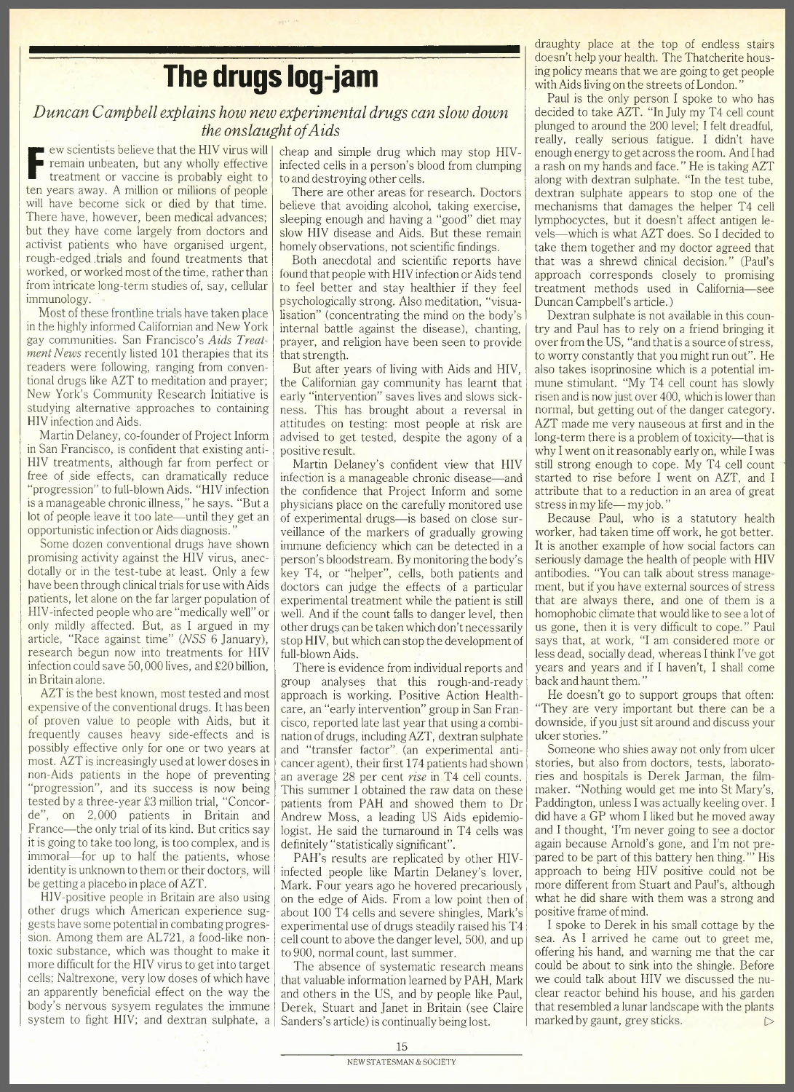draughty place at the top of endless stairs doesn't help your health. The Thatcherite housing policy means that we are going to get people with Aids living on the streets of London."

## **The drugs log-jam**

## *Duncan Campbell explains how new experimental drugs can slow down the onslaught ofAids*

E ew scientists believe that the HIV virus will<br>remain unbeaten, but any wholly effective<br>treatment or vaccine is probably eight to remain unbeaten, but any wholly effective treatment or vaccine is probably eight to ten years away. A million or millions of people will have become sick or died by that time. There have, however, been medical advances; but they have come largely from doctors and activist patients who have organised urgent, rough-edged .trials and found treatments that worked, or worked most of the time, rather than from intricate long-term studies of, say, cellular immunology.

Most of these frontline trials have taken place in the highly informed Californian and New York gay communities. San Francisco's *Aids Treatment News* recently listed 101 therapies that its readers were following, ranging from conventional drugs like AZT to meditation and prayer; New York's Community Research Initiative is studying alternative approaches to containing HIV infection and Aids.

Martin Delaney, eo-founder of Project Inform in San Francisco, is confident that existing anti-HIV treatments, although far from perfect or free of side effects, can dramatically reduce "progression" to full-blown Aids. "HIV infection is a manageable chronic illness," he says. "But a lot of people leave it too late—until they get an opportunistic infection or Aids diagnosis.

Some dozen conventional drugs have shown promising activity against the HIV virus, anecdotally or in the test-tube at least. Only a few have been through clinical trials for use with Aids patients, let alone on the far larger population of HIV-infected people who are "medically well" or only mildly affected. But, as I argued in my article, "Race against time" *(NSS* 6 January), research begun now into treatments for HIV infection could save 50,000 lives, and £20 billion, in Britain alone.

*AZT* is the best known, most tested and most expensive of the conventional drugs. It has been of proven value to people with Aids, but it frequently causes heavy side-effects and is possibly effective only for one or two years at most. *AlT* is increasingly used at lower doses in non-Aids patients in the hope of preventing "progression", and its success is now being tested by a three-year £3 million trial, "Concorde", on 2,000 patients in Britain and France—the only trial of its kind. But critics say it is going to take too long, is too complex, and is immoral—for up to half the patients, whose identity is unknown to them or their doctors, will be getting a placebo in place of*AlT. .*

HIV-positive people in Britain are also using other drugs which American experience suggests have some potential in combating progression. Among them are AL721, a food-like nontoxic substance, which was thought to make it more difficult for the HIV virus to get into target cells; Naltrexone, very low doses of which have an apparently beneficial effect on the way the body's nervous sysyem regulates the immune system to fight HIV; and dextran sulphate, a

cheap and simple drug which may stop HIVinfected cells in a person's blood from clumping to and destroying other cells.

There are other areas for research. Doctors believe that avoiding alcohol, taking exercise, sleeping enough and having a "good" diet may slow HIV disease and Aids. But these remain homely observations, not scientific findings.

Both anecdotal and scientific reports have found that people with HIV infection or Aids tend to feel better and stay healthier if they feel psychologically strong. Also meditation, "visualisation" (concentrating the mind on the body's internal battle against the disease), chanting, prayer, and religion have been seen to provide that strength.

But after years of living with Aids and HIV, the Californian gay community has learnt that early "intervention" saves lives and slows sickness. This has brought about a reversal in attitudes on testing: most people at risk are advised to get tested, despite the agony of a positive result.

Martin Delaney's confident view that HIV infection is a manageable chronic disease—and the confidence that Project Inform and some physicians place on the carefully monitored use of experimental drugs-is based on close surveillance of the markers of gradually growing immune deficiency which can be detected in a person's bloodstream. By monitoring the body's key T4, or "helper", cells, both patients and doctors can judge the effects of a particular experimental treatment while the patient is still well. And if the count falls to danger level, then other drugs can be taken which don't necessarily stop HIV, but which can stop the development of full-blown Aids.

There is evidence from individual reports and group analyses that this rough-and-ready approach is working. Positive Action Healthcare, an "early intervention" group in San Francisco, reported late last year that using a combination of drugs, including *AlT,* dextran sulphate and "transfer factor". (an experimental anticancer agent), their first 174 patients had shown an average 28 per cent *rise* in T4 cell counts. This summer I obtained the raw data on these patients from PAH and showed them to Dr Andrew Moss, a leading US Aids epidemiologist. He said the turnaround in T4 cells was definitely "statistically significant".

PAH's results are replicated by other HIVinfected people like Martin Delaney's lover, Mark. Four years ago he hovered precariously on the edge of Aids. From a low point then of about 100 T4 cells and severe shingles, Mark's experimental use of drugs steadily raised his T4 cell count to above the danger level, 500, and up to 900, normal count, last summer.

The absence of systematic research means that valuable information learned by PAH, Mark and others in the US, and by people like Paul, Derek, Stuart and Ianet in Britain (see Claire Sanders's article) is continually being lost.

Paul is the only person I spoke to who has decided to take AZT. "In July my T4 cell count plunged to around the 200 level; I felt dreadful, really, really serious fatigue. I didn't have enough energy to get across the room. And I had a rash on my hands and face. " He is taking *AlT* along with dextran sulphate. "In the test tube, dextran sulphate appears to stop one of the mechanisms that damages the helper T4 cell lymphocyctes, but it doesn't affect antigen levels-which is what *AlT* does. So I decided to take them together and my doctor agreed that that was a shrewd clinical decision." (Paul's approach corresponds closely to promising treatment methods used in California-see Duncan Campbell's article.)

Dextran sulphate is not available in this country and Paul has to rely on a friend bringing it over from the US, "and that is a source of stress, to worry constantly that you might run out". He also takes isoprinosine which is a potential immune stimulant. "My T4 cell count has slowly risen and is now just over 400, which is lower than normal, but getting out of the danger category. *AlT* made me very nauseous at first and in the long-term there is a problem of toxicity—that is why I went on it reasonably early on, while I was still strong enough to cope. My T4 cell count started to rise before I went on *AlT,* and I attribute that to a reduction in an area of great stress in my life-my job.'

Because Paul, who is a statutory health worker, had taken time off work, he got better. It is another example of how social factors can seriously damage the health of people with HIV antibodies. "You can talk about stress management, but if you have external sources of stress that are always there, and one of them is a homophobic climate that would like to see a lot of us gone, then it is very difficult to cope." Paul says that, at work, "I am considered more or less dead, socially dead, whereas I think I've got years and years and if I haven't, I shall come back and haunt them.'

He doesn't go to support groups that often: "They are very important but there can be a downside, if you just sit around and discuss your ulcer stories."

Someone who shies away not only from ulcer stories, but also from doctors, tests, laboratories and hospitals is Derek Iarman, the filmmaker. "Nothing would get me into St Mary's, Paddington, unless I was actually keeling over. I did have a GP whom I liked but he moved away and I thought, 'I'm never going to see a doctor again because Arnold's gone, and I'm not prepared to be part of this battery hen thing.'" His approach to being HIV positive could not be more different from Stuart and Paul's, although what he did share with them was a strong and positive frame of mind.

I spoke to Derek in his small cottage by the sea. As I arrived he came out to greet me, offering his hand, and warning me that the car could be about to sink into the shingle. Before we could talk about HIV we discussed the nuclear reactor behind his house, and his garden that resembled a lunar landscape with the plants marked by gaunt, grey sticks.